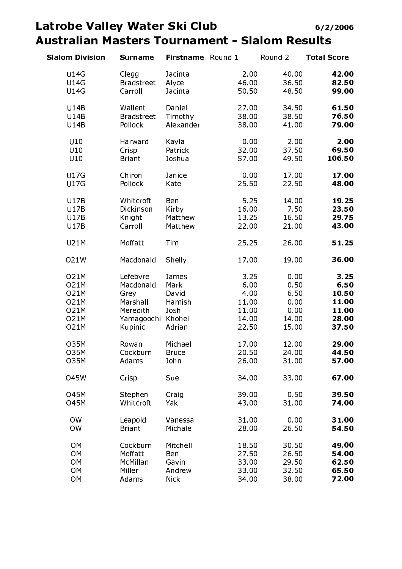### Latrobe Valley Water Ski Club **Australian Masters Tournament - Slalom Results**

| <b>Slalom Division</b> | <b>Surname</b>    | Firstname Round 1 |       | Round 2 | <b>Total Score</b> |
|------------------------|-------------------|-------------------|-------|---------|--------------------|
| <b>U14G</b>            | Clegg             | Jacinta           | 2.00  | 40.00   | 42.00              |
| <b>U14G</b>            | <b>Bradstreet</b> | Alyce             | 46.00 | 36.50   | 82.50              |
| U14G                   | Carroll           | Jacinta           | 50.50 | 48.50   | 99.00              |
| U14B                   | Wallent           | Daniel            | 27 00 | 34.50   | 61.50              |
| U14B                   | <b>Bradstreet</b> | Timothy           | 38.00 | 38.50   | 76.50              |
| U14B                   | Pollock           | Alexander         | 38.00 | 41.00   | 79.00              |
|                        |                   |                   |       |         |                    |
| U10                    | Harward           | Kayla             | 0.00  | 2.00    | 2.00               |
| U10                    | Crisp             | Patrick           | 32.00 | 37.50   | 69.50              |
| U10                    | <b>Briant</b>     | Joshua            | 57.00 | 49.50   | 106.50             |
| <b>U17G</b>            | Chiron            | Janice            | 0.00  | 17.00   | 17.00              |
| <b>U17G</b>            | Pollock           | Kate              | 25.50 | 22.50   | 48.00              |
| <b>U17B</b>            | Whitcroft         | Ben               | 5.25  | 14.00   | 19.25              |
| <b>U17B</b>            | Dickinson         | Kirby             | 16.00 | 7.50    | 23.50              |
| U17B                   | Knight            | Matthew           | 13.25 | 16.50   | 29.75              |
| U17B                   | Carroll           | Matthew           | 22.00 | 21.00   | 43.00              |
|                        |                   |                   |       |         |                    |
| U21M                   | Moffatt           | Tim               | 25.25 | 26.00   | 51.25              |
| O21W                   | Macdonald         | Shelly            | 17.00 | 19.00   | 36.00              |
| <b>O21M</b>            | Lefebvre          | James             | 3.25  | 0.00    | 3.25               |
| <b>O21M</b>            | Macdonald         | Mark              | 6.00  | 0.50    | 6.50               |
| <b>O21M</b>            | Grey              | David             | 4.00  | 6.50    | 10.50              |
| <b>O21M</b>            | Marshall          | Hamish            | 11.00 | 0.00    | 11.00              |
| <b>O21M</b>            | Meredith          | Josh              | 11.00 | 0.00    | 11.00              |
| <b>O21M</b>            | Yamagoochi        | Khohei            | 14.00 | 14.00   | 28.00              |
| <b>O21M</b>            | Kupinic           | Adrian            | 22.50 | 15.00   | 37.50              |
| <b>O35M</b>            | Rowan             | Michael           | 17.00 | 12.00   | 29.00              |
| <b>O35M</b>            | Cockburn          | <b>Bruce</b>      | 20.50 | 24.00   | 44.50              |
| <b>O35M</b>            | Adams             | John              | 26.00 | 31.00   | 57.00              |
| 045W                   | Crisp             | Sue               | 34.00 | 33.00   | 67.00              |
| 045M                   | Stephen           | Craig             | 39.00 | 0.50    | 39.50              |
| 045M                   | Whitcroft         | Yak               | 43.00 | 31.00   | 74.00              |
| <b>OW</b>              | Leapold           | Vanessa           | 31.00 | 0.00    | 31.00              |
| <b>OW</b>              | <b>Briant</b>     | Michale           | 28.00 | 26.50   | 54.50              |
| <b>OM</b>              | Cockburn          | Mitchell          | 18 50 | 30.50   | 49.00              |
| <b>OM</b>              | Moffatt           | Ben               | 27.50 | 26.50   | 54.00              |
| <b>OM</b>              | McMillan          | Gavin             | 33.00 | 29.50   | 62.50              |
| <b>OM</b>              | Miller            | Andrew            | 33.00 | 32.50   | 65.50              |
| <b>OM</b>              | Adams             | <b>Nick</b>       | 34.00 | 38.00   | 72.00              |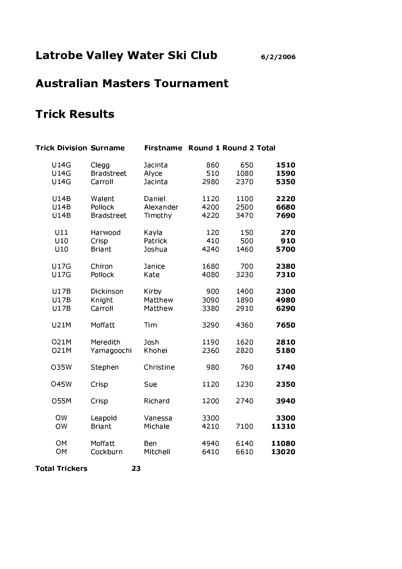### **Australian Masters Tournament**

### **Trick Results**

| <b>Trick Division Surname</b> |                   | <b>Firstname</b> |      | Round 1 Round 2 Total |       |
|-------------------------------|-------------------|------------------|------|-----------------------|-------|
| <b>U14G</b>                   | Clegg             | Jacinta          | 860  | 650                   | 1510  |
| <b>U14G</b>                   | <b>Bradstreet</b> | Alyce            | 510  | 1080                  | 1590  |
| <b>U14G</b>                   | Carroll           | Jacinta          | 2980 | 2370                  | 5350  |
| <b>U14B</b>                   | Walent            | Daniel           | 1120 | 1100                  | 2220  |
| <b>U14B</b>                   | Pollock           | Alexander        | 4200 | 2500                  | 6680  |
| <b>U14B</b>                   | <b>Bradstreet</b> | Timothy          | 4220 | 3470                  | 7690  |
| U11                           | Harwood           | Kayla            | 120  | 150                   | 270   |
| U10                           | Crisp             | Patrick          | 410  | 500                   | 910   |
| U10                           | <b>Briant</b>     | Joshua           | 4240 | 1460                  | 5700  |
| <b>U17G</b>                   | Chiron            | Janice           | 1680 | 700                   | 2380  |
| <b>U17G</b>                   | Pollock           | Kate             | 4080 | 3230                  | 7310  |
| <b>U17B</b>                   | Dickinson         | Kirby            | 900  | 1400                  | 2300  |
| <b>U17B</b>                   | Knight            | Matthew          | 3090 | 1890                  | 4980  |
| <b>U17B</b>                   | Carroll           | Matthew          | 3380 | 2910                  | 6290  |
| <b>U21M</b>                   | Moffatt           | Tim              | 3290 | 4360                  | 7650  |
| <b>O21M</b>                   | Meredith          | Josh             | 1190 | 1620                  | 2810  |
| <b>O21M</b>                   | Yamagoochi        | Khohei           | 2360 | 2820                  | 5180  |
| <b>035W</b>                   | Stephen           | Christine        | 980  | 760                   | 1740  |
| <b>045W</b>                   | Crisp             | Sue              | 1120 | 1230                  | 2350  |
| <b>O55M</b>                   | Crisp             | Richard          | 1200 | 2740                  | 3940  |
| <b>OW</b>                     | Leapold           | Vanessa          | 3300 | 7100                  | 3300  |
| <b>OW</b>                     | <b>Briant</b>     | Michale          | 4210 |                       | 11310 |
| <b>OM</b>                     | Moffatt           | Ben              | 4940 | 6140                  | 11080 |
| <b>OM</b>                     | Cockburn          | Mitchell         | 6410 | 6610                  | 13020 |

**Total Trickers** 

23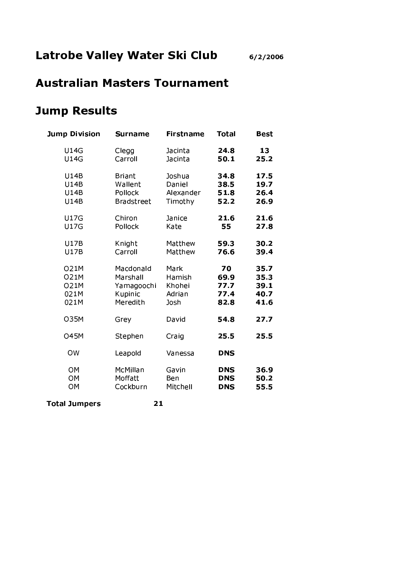# **Australian Masters Tournament**

#### **Jump Results**

| <b>Jump Division</b> | <b>Surname</b>    | <b>Firstname</b> | <b>Total</b> | <b>Best</b> |
|----------------------|-------------------|------------------|--------------|-------------|
| <b>U14G</b>          | Clegg             | Jacinta          | 24.8         | 13          |
| <b>U14G</b>          | Carroll           | Jacinta          | 50.1         | 25.2        |
| <b>U14B</b>          | <b>Briant</b>     | Joshua           | 34.8         | 17.5        |
| <b>U14B</b>          | Wallent           | Daniel           | 38.5         | 19.7        |
| <b>U14B</b>          | Pollock           | Alexander        | 51.8         | 26.4        |
| U14B                 | <b>Bradstreet</b> | Timothy          | 52.2         | 26.9        |
| <b>U17G</b>          | Chiron            | Janice           | 21.6         | 21.6        |
| <b>U17G</b>          | Pollock           | Kate             | 55           | 27.8        |
| <b>U17B</b>          | Knight            | Matthew          | 59.3         | 30.2        |
| <b>U17B</b>          | Carroll           | Matthew          | 76.6         | 39.4        |
| <b>O21M</b>          | Macdonald         | Mark             | 70           | 35.7        |
| <b>O21M</b>          | Marshall          | Hamish           | 69.9         | 35.3        |
| <b>O21M</b>          | Yamagoochi        | Khohei           | 77.7         | 39.1        |
| 021M                 | Kupinic           | Adrian           | 77.4         | 40.7        |
| 021M                 | Meredith          | Josh             | 82.8         | 41.6        |
| <b>O35M</b>          | Grey              | David            | 54.8         | 27.7        |
| <b>O45M</b>          | Stephen           | Craig            | 25.5         | 25.5        |
| <b>OW</b>            | Leapold           | Vanessa          | <b>DNS</b>   |             |
| <b>OM</b>            | McMillan          | Gavin            | <b>DNS</b>   | 36.9        |
| OM                   | Moffatt           | Ben              | <b>DNS</b>   | 50.2        |
| OM                   | Cockburn          | Mitchell         | <b>DNS</b>   | 55.5        |

**Total Jumpers** 

 $21$